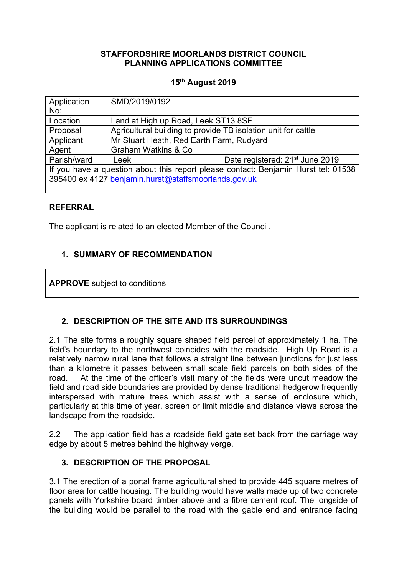### **STAFFORDSHIRE MOORLANDS DISTRICT COUNCIL PLANNING APPLICATIONS COMMITTEE**

### **15th August 2019**

| Application                                                                        | SMD/2019/0192                                                 |                                             |
|------------------------------------------------------------------------------------|---------------------------------------------------------------|---------------------------------------------|
| No:                                                                                |                                                               |                                             |
| Location                                                                           | Land at High up Road, Leek ST13 8SF                           |                                             |
| Proposal                                                                           | Agricultural building to provide TB isolation unit for cattle |                                             |
| Applicant                                                                          | Mr Stuart Heath, Red Earth Farm, Rudyard                      |                                             |
| Agent                                                                              | Graham Watkins & Co.                                          |                                             |
| Parish/ward                                                                        | Leek                                                          | Date registered: 21 <sup>st</sup> June 2019 |
| If you have a question about this report please contact: Benjamin Hurst tel: 01538 |                                                               |                                             |
| 395400 ex 4127 benjamin.hurst@staffsmoorlands.gov.uk                               |                                                               |                                             |
|                                                                                    |                                                               |                                             |

#### **REFERRAL**

The applicant is related to an elected Member of the Council.

## **1. SUMMARY OF RECOMMENDATION**

**APPROVE** subject to conditions

# **2. DESCRIPTION OF THE SITE AND ITS SURROUNDINGS**

2.1 The site forms a roughly square shaped field parcel of approximately 1 ha. The field's boundary to the northwest coincides with the roadside. High Up Road is a relatively narrow rural lane that follows a straight line between junctions for just less than a kilometre it passes between small scale field parcels on both sides of the road. At the time of the officer's visit many of the fields were uncut meadow the field and road side boundaries are provided by dense traditional hedgerow frequently interspersed with mature trees which assist with a sense of enclosure which, particularly at this time of year, screen or limit middle and distance views across the landscape from the roadside.

2.2 The application field has a roadside field gate set back from the carriage way edge by about 5 metres behind the highway verge.

#### **3. DESCRIPTION OF THE PROPOSAL**

3.1 The erection of a portal frame agricultural shed to provide 445 square metres of floor area for cattle housing. The building would have walls made up of two concrete panels with Yorkshire board timber above and a fibre cement roof. The longside of the building would be parallel to the road with the gable end and entrance facing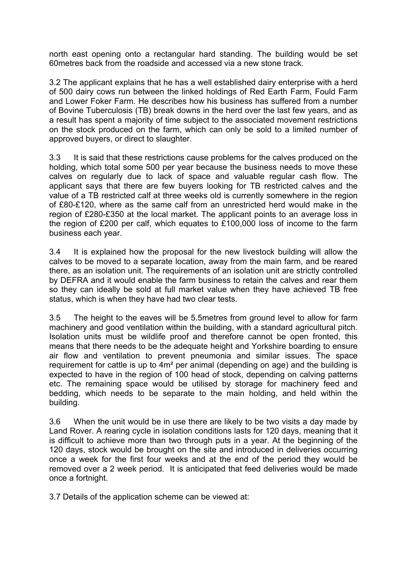north east opening onto a rectangular hard standing. The building would be set 60metres back from the roadside and accessed via a new stone track.

3.2 The applicant explains that he has a well established dairy enterprise with a herd of 500 dairy cows run between the linked holdings of Red Earth Farm, Fould Farm and Lower Foker Farm. He describes how his business has suffered from a number of Bovine Tuberculosis (TB) break downs in the herd over the last few years, and as a result has spent a majority of time subject to the associated movement restrictions on the stock produced on the farm, which can only be sold to a limited number of approved buyers, or direct to slaughter.

3.3 It is said that these restrictions cause problems for the calves produced on the holding, which total some 500 per year because the business needs to move these calves on regularly due to lack of space and valuable regular cash flow. The applicant says that there are few buyers looking for TB restricted calves and the value of a TB restricted calf at three weeks old is currently somewhere in the region of £80-£120, where as the same calf from an unrestricted herd would make in the region of £280-£350 at the local market. The applicant points to an average loss in the region of £200 per calf, which equates to £100,000 loss of income to the farm business each year.

3.4 It is explained how the proposal for the new livestock building will allow the calves to be moved to a separate location, away from the main farm, and be reared there, as an isolation unit. The requirements of an isolation unit are strictly controlled by DEFRA and it would enable the farm business to retain the calves and rear them so they can ideally be sold at full market value when they have achieved TB free status, which is when they have had two clear tests.

3.5 The height to the eaves will be 5.5metres from ground level to allow for farm machinery and good ventilation within the building, with a standard agricultural pitch. Isolation units must be wildlife proof and therefore cannot be open fronted, this means that there needs to be the adequate height and Yorkshire boarding to ensure air flow and ventilation to prevent pneumonia and similar issues. The space requirement for cattle is up to 4m² per animal (depending on age) and the building is expected to have in the region of 100 head of stock, depending on calving patterns etc. The remaining space would be utilised by storage for machinery feed and bedding, which needs to be separate to the main holding, and held within the building.

3.6 When the unit would be in use there are likely to be two visits a day made by Land Rover. A rearing cycle in isolation conditions lasts for 120 days, meaning that it is difficult to achieve more than two through puts in a year. At the beginning of the 120 days, stock would be brought on the site and introduced in deliveries occurring once a week for the first four weeks and at the end of the period they would be removed over a 2 week period. It is anticipated that feed deliveries would be made once a fortnight.

3.7 Details of the application scheme can be viewed at: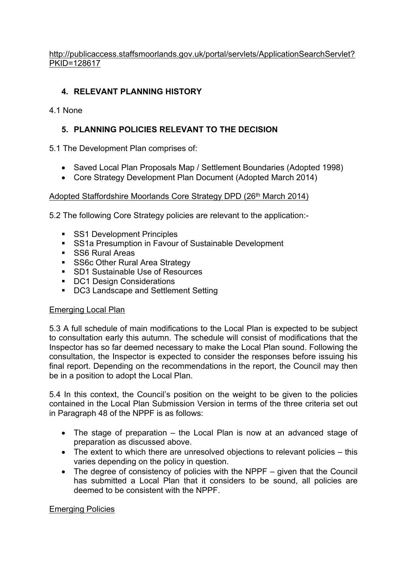[http://publicaccess.staffsmoorlands.gov.uk/portal/servlets/ApplicationSearchServlet?](http://publicaccess.staffsmoorlands.gov.uk/portal/servlets/ApplicationSearchServlet?PKID=128617) [PKID=128617](http://publicaccess.staffsmoorlands.gov.uk/portal/servlets/ApplicationSearchServlet?PKID=128617)

# **4. RELEVANT PLANNING HISTORY**

### 4.1 None

# **5. PLANNING POLICIES RELEVANT TO THE DECISION**

5.1 The Development Plan comprises of:

- Saved Local Plan Proposals Map / Settlement Boundaries (Adopted 1998)
- Core Strategy Development Plan Document (Adopted March 2014)

## Adopted Staffordshire Moorlands Core Strategy DPD (26<sup>th</sup> March 2014)

5.2 The following Core Strategy policies are relevant to the application:-

- **SS1 Development Principles**
- **SS1a Presumption in Favour of Sustainable Development**
- SS6 Rural Areas
- **SS6c Other Rural Area Strategy**
- **SD1 Sustainable Use of Resources**
- **DC1 Design Considerations**
- **DC3 Landscape and Settlement Setting**

#### Emerging Local Plan

5.3 A full schedule of main modifications to the Local Plan is expected to be subject to consultation early this autumn. The schedule will consist of modifications that the Inspector has so far deemed necessary to make the Local Plan sound. Following the consultation, the Inspector is expected to consider the responses before issuing his final report. Depending on the recommendations in the report, the Council may then be in a position to adopt the Local Plan.

5.4 In this context, the Council's position on the weight to be given to the policies contained in the Local Plan Submission Version in terms of the three criteria set out in Paragraph 48 of the NPPF is as follows:

- The stage of preparation the Local Plan is now at an advanced stage of preparation as discussed above.
- The extent to which there are unresolved objections to relevant policies this varies depending on the policy in question.
- The degree of consistency of policies with the NPPF given that the Council has submitted a Local Plan that it considers to be sound, all policies are deemed to be consistent with the NPPF.

#### Emerging Policies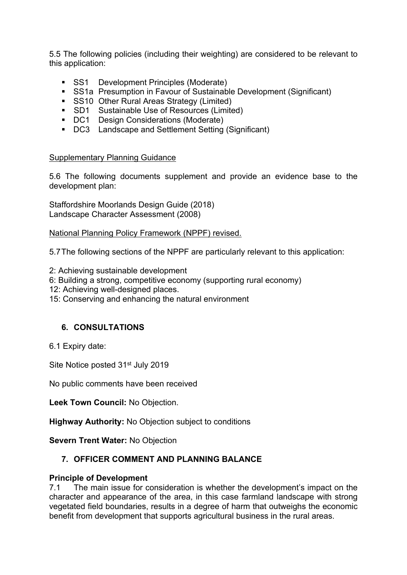5.5 The following policies (including their weighting) are considered to be relevant to this application:

- **SS1** Development Principles (Moderate)
- SS1a Presumption in Favour of Sustainable Development (Significant)
- **SS10 Other Rural Areas Strategy (Limited)**
- SD1 Sustainable Use of Resources (Limited)
- DC1 Design Considerations (Moderate)
- DC3 Landscape and Settlement Setting (Significant)

#### Supplementary Planning Guidance

5.6 The following documents supplement and provide an evidence base to the development plan:

Staffordshire Moorlands Design Guide (2018) Landscape Character Assessment (2008)

National Planning Policy Framework (NPPF) revised.

5.7The following sections of the NPPF are particularly relevant to this application:

- 2: Achieving sustainable development
- 6: Building a strong, competitive economy (supporting rural economy)
- 12: Achieving well-designed places.
- 15: Conserving and enhancing the natural environment

#### **6. CONSULTATIONS**

6.1 Expiry date:

Site Notice posted 31<sup>st</sup> July 2019

No public comments have been received

**Leek Town Council:** No Objection.

**Highway Authority:** No Objection subject to conditions

**Severn Trent Water:** No Objection

# **7. OFFICER COMMENT AND PLANNING BALANCE**

#### **Principle of Development**

7.1 The main issue for consideration is whether the development's impact on the character and appearance of the area, in this case farmland landscape with strong vegetated field boundaries, results in a degree of harm that outweighs the economic benefit from development that supports agricultural business in the rural areas.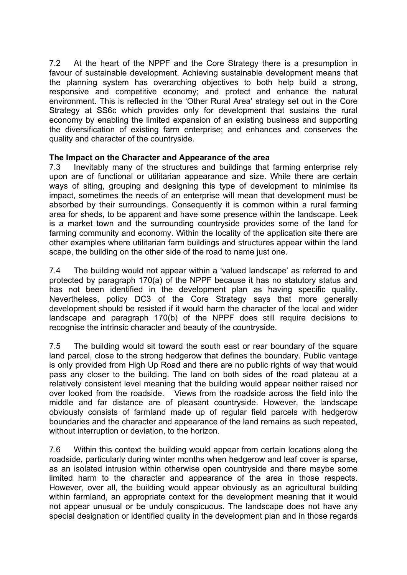7.2 At the heart of the NPPF and the Core Strategy there is a presumption in favour of sustainable development. Achieving sustainable development means that the planning system has overarching objectives to both help build a strong, responsive and competitive economy; and protect and enhance the natural environment. This is reflected in the 'Other Rural Area' strategy set out in the Core Strategy at SS6c which provides only for development that sustains the rural economy by enabling the limited expansion of an existing business and supporting the diversification of existing farm enterprise; and enhances and conserves the quality and character of the countryside.

#### **The Impact on the Character and Appearance of the area**

7.3 Inevitably many of the structures and buildings that farming enterprise rely upon are of functional or utilitarian appearance and size. While there are certain ways of siting, grouping and designing this type of development to minimise its impact, sometimes the needs of an enterprise will mean that development must be absorbed by their surroundings. Consequently it is common within a rural farming area for sheds, to be apparent and have some presence within the landscape. Leek is a market town and the surrounding countryside provides some of the land for farming community and economy. Within the locality of the application site there are other examples where utilitarian farm buildings and structures appear within the land scape, the building on the other side of the road to name just one.

7.4 The building would not appear within a 'valued landscape' as referred to and protected by paragraph 170(a) of the NPPF because it has no statutory status and has not been identified in the development plan as having specific quality. Nevertheless, policy DC3 of the Core Strategy says that more generally development should be resisted if it would harm the character of the local and wider landscape and paragraph 170(b) of the NPPF does still require decisions to recognise the intrinsic character and beauty of the countryside.

7.5 The building would sit toward the south east or rear boundary of the square land parcel, close to the strong hedgerow that defines the boundary. Public vantage is only provided from High Up Road and there are no public rights of way that would pass any closer to the building. The land on both sides of the road plateau at a relatively consistent level meaning that the building would appear neither raised nor over looked from the roadside. Views from the roadside across the field into the middle and far distance are of pleasant countryside. However, the landscape obviously consists of farmland made up of regular field parcels with hedgerow boundaries and the character and appearance of the land remains as such repeated, without interruption or deviation, to the horizon.

7.6 Within this context the building would appear from certain locations along the roadside, particularly during winter months when hedgerow and leaf cover is sparse, as an isolated intrusion within otherwise open countryside and there maybe some limited harm to the character and appearance of the area in those respects. However, over all, the building would appear obviously as an agricultural building within farmland, an appropriate context for the development meaning that it would not appear unusual or be unduly conspicuous. The landscape does not have any special designation or identified quality in the development plan and in those regards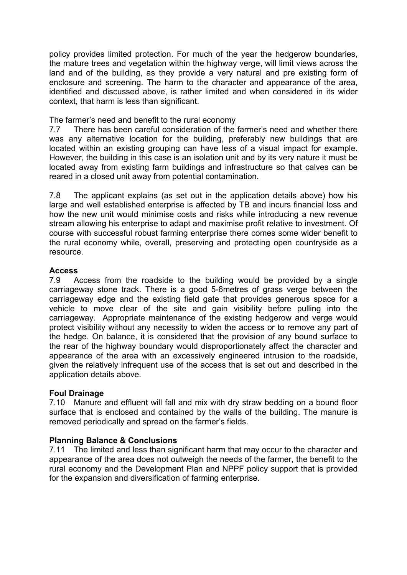policy provides limited protection. For much of the year the hedgerow boundaries, the mature trees and vegetation within the highway verge, will limit views across the land and of the building, as they provide a very natural and pre existing form of enclosure and screening. The harm to the character and appearance of the area, identified and discussed above, is rather limited and when considered in its wider context, that harm is less than significant.

## The farmer's need and benefit to the rural economy

7.7 There has been careful consideration of the farmer's need and whether there was any alternative location for the building, preferably new buildings that are located within an existing grouping can have less of a visual impact for example. However, the building in this case is an isolation unit and by its very nature it must be located away from existing farm buildings and infrastructure so that calves can be reared in a closed unit away from potential contamination.

7.8 The applicant explains (as set out in the application details above) how his large and well established enterprise is affected by TB and incurs financial loss and how the new unit would minimise costs and risks while introducing a new revenue stream allowing his enterprise to adapt and maximise profit relative to investment. Of course with successful robust farming enterprise there comes some wider benefit to the rural economy while, overall, preserving and protecting open countryside as a resource.

## **Access**

7.9 Access from the roadside to the building would be provided by a single carriageway stone track. There is a good 5-6metres of grass verge between the carriageway edge and the existing field gate that provides generous space for a vehicle to move clear of the site and gain visibility before pulling into the carriageway. Appropriate maintenance of the existing hedgerow and verge would protect visibility without any necessity to widen the access or to remove any part of the hedge. On balance, it is considered that the provision of any bound surface to the rear of the highway boundary would disproportionately affect the character and appearance of the area with an excessively engineered intrusion to the roadside, given the relatively infrequent use of the access that is set out and described in the application details above.

# **Foul Drainage**

7.10 Manure and effluent will fall and mix with dry straw bedding on a bound floor surface that is enclosed and contained by the walls of the building. The manure is removed periodically and spread on the farmer's fields.

# **Planning Balance & Conclusions**

7.11 The limited and less than significant harm that may occur to the character and appearance of the area does not outweigh the needs of the farmer, the benefit to the rural economy and the Development Plan and NPPF policy support that is provided for the expansion and diversification of farming enterprise.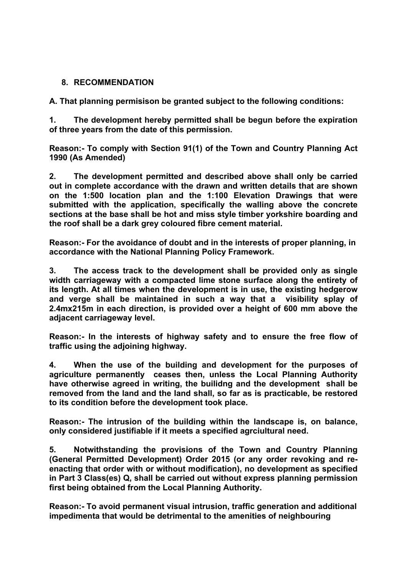### **8. RECOMMENDATION**

**A. That planning permisison be granted subject to the following conditions:**

**1. The development hereby permitted shall be begun before the expiration of three years from the date of this permission.**

**Reason:- To comply with Section 91(1) of the Town and Country Planning Act 1990 (As Amended)**

**2. The development permitted and described above shall only be carried out in complete accordance with the drawn and written details that are shown on the 1:500 location plan and the 1:100 Elevation Drawings that were submitted with the application, specifically the walling above the concrete sections at the base shall be hot and miss style timber yorkshire boarding and the roof shall be a dark grey coloured fibre cement material.** 

**Reason:- For the avoidance of doubt and in the interests of proper planning, in accordance with the National Planning Policy Framework.**

**3. The access track to the development shall be provided only as single width carriageway with a compacted lime stone surface along the entirety of its length. At all times when the development is in use, the existing hedgerow and verge shall be maintained in such a way that a visibility splay of 2.4mx215m in each direction, is provided over a height of 600 mm above the adjacent carriageway level.**

**Reason:- In the interests of highway safety and to ensure the free flow of traffic using the adjoining highway.**

**4. When the use of the building and development for the purposes of agriculture permanently ceases then, unless the Local Planning Authority have otherwise agreed in writing, the builidng and the development shall be removed from the land and the land shall, so far as is practicable, be restored to its condition before the development took place.**

**Reason:- The intrusion of the building within the landscape is, on balance, only considered justifiable if it meets a specified agrciultural need.**

**5. Notwithstanding the provisions of the Town and Country Planning (General Permitted Development) Order 2015 (or any order revoking and reenacting that order with or without modification), no development as specified in Part 3 Class(es) Q, shall be carried out without express planning permission first being obtained from the Local Planning Authority.**

**Reason:- To avoid permanent visual intrusion, traffic generation and additional impedimenta that would be detrimental to the amenities of neighbouring**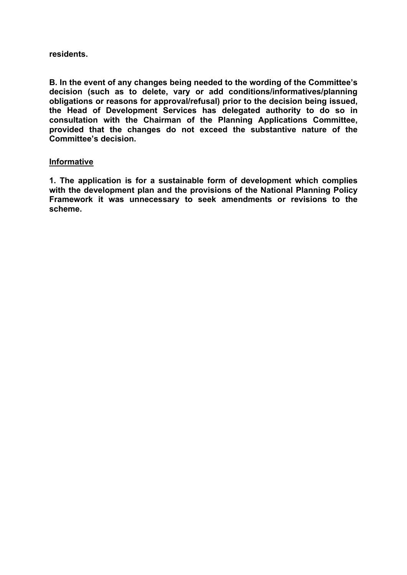#### **residents.**

**B. In the event of any changes being needed to the wording of the Committee's decision (such as to delete, vary or add conditions/informatives/planning obligations or reasons for approval/refusal) prior to the decision being issued, the Head of Development Services has delegated authority to do so in consultation with the Chairman of the Planning Applications Committee, provided that the changes do not exceed the substantive nature of the Committee's decision.**

#### **Informative**

**1. The application is for a sustainable form of development which complies with the development plan and the provisions of the National Planning Policy Framework it was unnecessary to seek amendments or revisions to the scheme.**